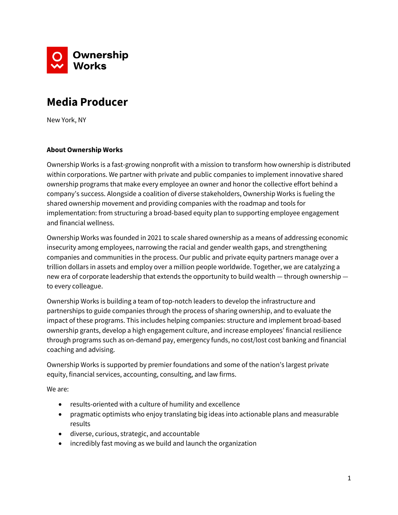

# **Media Producer**

New York, NY

## **About Ownership Works**

Ownership Works is a fast-growing nonprofit with a mission to transform how ownership is distributed within corporations. We partner with private and public companies to implement innovative shared ownership programs that make every employee an owner and honor the collective effort behind a company's success. Alongside a coalition of diverse stakeholders, Ownership Works is fueling the shared ownership movement and providing companies with the roadmap and tools for implementation: from structuring a broad-based equity plan to supporting employee engagement and financial wellness.

Ownership Works was founded in 2021 to scale shared ownership as a means of addressing economic insecurity among employees, narrowing the racial and gender wealth gaps, and strengthening companies and communities in the process. Our public and private equity partners manage over a trillion dollars in assets and employ over a million people worldwide. Together, we are catalyzing a new era of corporate leadership that extends the opportunity to build wealth — through ownership to every colleague.

Ownership Works is building a team of top-notch leaders to develop the infrastructure and partnerships to guide companies through the process of sharing ownership, and to evaluate the impact of these programs. This includes helping companies: structure and implement broad-based ownership grants, develop a high engagement culture, and increase employees' financial resilience through programs such as on-demand pay, emergency funds, no cost/lost cost banking and financial coaching and advising.

Ownership Works is supported by premier foundations and some of the nation's largest private equity, financial services, accounting, consulting, and law firms.

We are:

- results-oriented with a culture of humility and excellence
- pragmatic optimists who enjoy translating big ideas into actionable plans and measurable results
- diverse, curious, strategic, and accountable
- incredibly fast moving as we build and launch the organization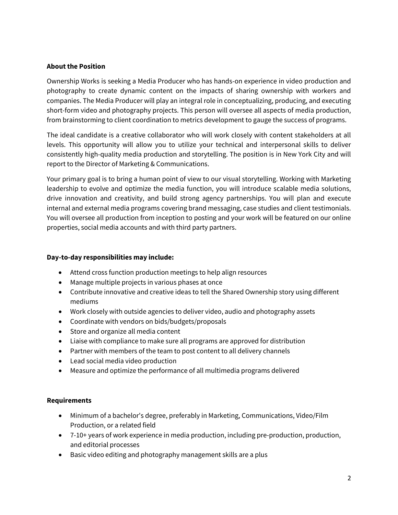## **About the Position**

Ownership Works is seeking a Media Producer who has hands-on experience in video production and photography to create dynamic content on the impacts of sharing ownership with workers and companies. The Media Producer will play an integral role in conceptualizing, producing, and executing short-form video and photography projects. This person will oversee all aspects of media production, from brainstorming to client coordination to metrics development to gauge the success of programs.

The ideal candidate is a creative collaborator who will work closely with content stakeholders at all levels. This opportunity will allow you to utilize your technical and interpersonal skills to deliver consistently high-quality media production and storytelling. The position is in New York City and will report to the Director of Marketing & Communications.

Your primary goal is to bring a human point of view to our visual storytelling. Working with Marketing leadership to evolve and optimize the media function, you will introduce scalable media solutions, drive innovation and creativity, and build strong agency partnerships. You will plan and execute internal and external media programs covering brand messaging, case studies and client testimonials. You will oversee all production from inception to posting and your work will be featured on our online properties, social media accounts and with third party partners.

### **Day-to-day responsibilities may include:**

- Attend cross function production meetings to help align resources
- Manage multiple projects in various phases at once
- Contribute innovative and creative ideas to tell the Shared Ownership story using different mediums
- Work closely with outside agencies to deliver video, audio and photography assets
- Coordinate with vendors on bids/budgets/proposals
- Store and organize all media content
- Liaise with compliance to make sure all programs are approved for distribution
- Partner with members of the team to post content to all delivery channels
- Lead social media video production
- Measure and optimize the performance of all multimedia programs delivered

### **Requirements**

- Minimum of a bachelor's degree, preferably in Marketing, Communications, Video/Film Production, or a related field
- 7-10+ years of work experience in media production, including pre-production, production, and editorial processes
- Basic video editing and photography management skills are a plus